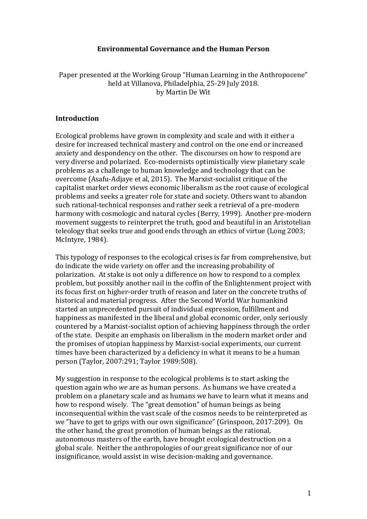# **Environmental Governance and the Human Person**

Paper presented at the Working Group "Human Learning in the Anthropocene" held at Villanova, Philadelphia, 25-29 July 2018. by Martin De Wit

## **Introduction**

Ecological problems have grown in complexity and scale and with it either a desire for increased technical mastery and control on the one end or increased anxiety and despondency on the other. The discourses on how to respond are very diverse and polarized. Eco-modernists optimistically view planetary scale problems as a challenge to human knowledge and technology that can be overcome (Asafu-Adjaye et al, 2015). The Marxist-socialist critique of the capitalist market order views economic liberalism as the root cause of ecological problems and seeks a greater role for state and society. Others want to abandon such rational-technical responses and rather seek a retrieval of a pre-modern harmony with cosmologic and natural cycles (Berry, 1999). Another pre-modern movement suggests to reinterpret the truth, good and beautiful in an Aristotelian teleology that seeks true and good ends through an ethics of virtue (Long 2003; McIntyre, 1984).

This typology of responses to the ecological crises is far from comprehensive, but do indicate the wide variety on offer and the increasing probability of polarization. At stake is not only a difference on how to respond to a complex problem, but possibly another nail in the coffin of the Enlightenment project with its focus first on higher-order truth of reason and later on the concrete truths of historical and material progress. After the Second World War humankind started an unprecedented pursuit of individual expression, fulfillment and happiness as manifested in the liberal and global economic order, only seriously countered by a Marxist-socialist option of achieving happiness through the order of the state. Despite an emphasis on liberalism in the modern market order and the promises of utopian happiness by Marxist-social experiments, our current times have been characterized by a deficiency in what it means to be a human person (Taylor, 2007:291; Taylor 1989:508).

My suggestion in response to the ecological problems is to start asking the question again who *we* are as human persons. As humans we have created a problem on a planetary scale and as humans we have to learn what it means and how to respond wisely. The "great demotion" of human beings as being inconsequential within the vast scale of the cosmos needs to be reinterpreted as we "have to get to grips with our own significance" (Grinspoon, 2017:209). On the other hand, the great promotion of human beings as the rational, autonomous masters of the earth, have brought ecological destruction on a global scale. Neither the anthropologies of our great significance nor of our insignificance, would assist in wise decision-making and governance.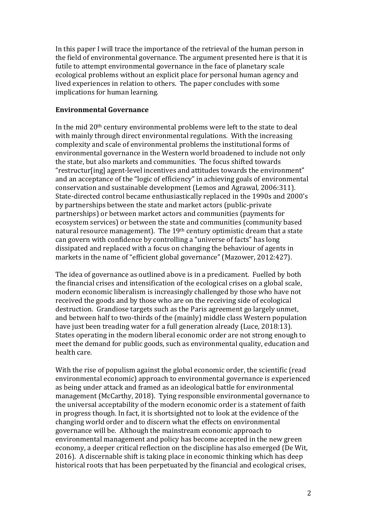In this paper I will trace the importance of the retrieval of the human person in the field of environmental governance. The argument presented here is that it is futile to attempt environmental governance in the face of planetary scale ecological problems without an explicit place for personal human agency and lived experiences in relation to others. The paper concludes with some implications for human learning.

## **Environmental Governance**

In the mid 20th century environmental problems were left to the state to deal with mainly through direct environmental regulations. With the increasing complexity and scale of environmental problems the institutional forms of environmental governance in the Western world broadened to include not only the state, but also markets and communities. The focus shifted towards "restructur[ing] agent-level incentives and attitudes towards the environment" and an acceptance of the "logic of efficiency" in achieving goals of environmental conservation and sustainable development (Lemos and Agrawal, 2006:311). State-directed control became enthusiastically replaced in the 1990s and 2000's by partnerships between the state and market actors (public-private partnerships) or between market actors and communities (payments for ecosystem services) or between the state and communities (community based natural resource management). The 19th century optimistic dream that a state can govern with confidence by controlling a "universe of facts" has long dissipated and replaced with a focus on changing the behaviour of agents in markets in the name of "efficient global governance" (Mazower, 2012:427).

The idea of governance as outlined above is in a predicament. Fuelled by both the financial crises and intensification of the ecological crises on a global scale, modern economic liberalism is increasingly challenged by those who have not received the goods and by those who are on the receiving side of ecological destruction. Grandiose targets such as the Paris agreement go largely unmet, and between half to two-thirds of the (mainly) middle class Western population have just been treading water for a full generation already (Luce, 2018:13). States operating in the modern liberal economic order are not strong enough to meet the demand for public goods, such as environmental quality, education and health care.

With the rise of populism against the global economic order, the scientific (read environmental economic) approach to environmental governance is experienced as being under attack and framed as an ideological battle for environmental management (McCarthy, 2018). Tying responsible environmental governance to the universal acceptability of the modern economic order is a statement of faith in progress though. In fact, it is shortsighted not to look at the evidence of the changing world order and to discern what the effects on environmental governance will be. Although the mainstream economic approach to environmental management and policy has become accepted in the new green economy, a deeper critical reflection on the discipline has also emerged (De Wit, 2016). A discernable shift is taking place in economic thinking which has deep historical roots that has been perpetuated by the financial and ecological crises,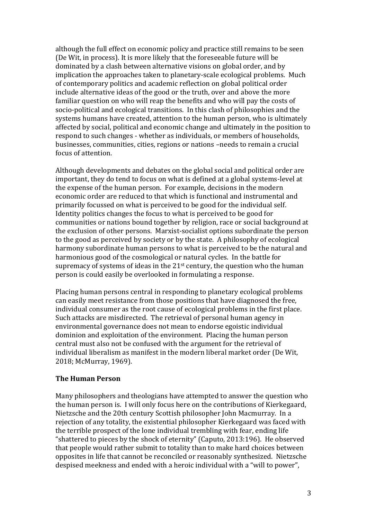although the full effect on economic policy and practice still remains to be seen (De Wit, in process). It is more likely that the foreseeable future will be dominated by a clash between alternative visions on global order, and by implication the approaches taken to planetary-scale ecological problems. Much of contemporary politics and academic reflection on global political order include alternative ideas of the good or the truth, over and above the more familiar question on who will reap the benefits and who will pay the costs of socio-political and ecological transitions. In this clash of philosophies and the systems humans have created, attention to the human person, who is ultimately affected by social, political and economic change and ultimately in the position to respond to such changes - whether as individuals, or members of households, businesses, communities, cities, regions or nations –needs to remain a crucial focus of attention.

Although developments and debates on the global social and political order are important, they do tend to focus on what is defined at a global systems-level at the expense of the human person. For example, decisions in the modern economic order are reduced to that which is functional and instrumental and primarily focussed on what is perceived to be good for the individual self. Identity politics changes the focus to what is perceived to be good for communities or nations bound together by religion, race or social background at the exclusion of other persons. Marxist-socialist options subordinate the person to the good as perceived by society or by the state. A philosophy of ecological harmony subordinate human persons to what is perceived to be the natural and harmonious good of the cosmological or natural cycles. In the battle for supremacy of systems of ideas in the 21<sup>st</sup> century, the question who the human person is could easily be overlooked in formulating a response.

Placing human persons central in responding to planetary ecological problems can easily meet resistance from those positions that have diagnosed the free, individual consumer as the root cause of ecological problems in the first place. Such attacks are misdirected. The retrieval of personal human agency in environmental governance does not mean to endorse egoistic individual dominion and exploitation of the environment. Placing the human person central must also not be confused with the argument for the retrieval of individual liberalism as manifest in the modern liberal market order (De Wit, 2018; McMurray, 1969).

## **The Human Person**

Many philosophers and theologians have attempted to answer the question who the human person is. I will only focus here on the contributions of Kierkegaard, Nietzsche and the 20th century Scottish philosopher John Macmurray. In a rejection of any totality, the existential philosopher Kierkegaard was faced with the terrible prospect of the lone individual trembling with fear, ending life "shattered to pieces by the shock of eternity" (Caputo, 2013:196). He observed that people would rather submit to totality than to make hard choices between opposites in life that cannot be reconciled or reasonably synthesized. Nietzsche despised meekness and ended with a heroic individual with a "will to power",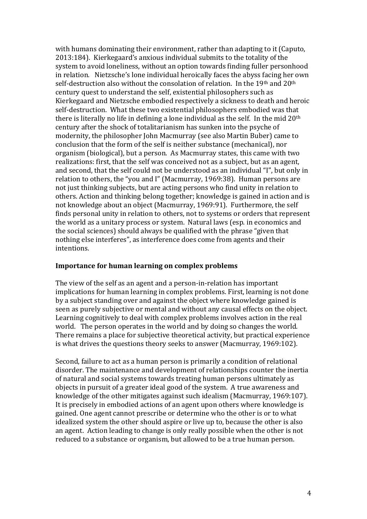with humans dominating their environment, rather than adapting to it (Caputo, 2013:184). Kierkegaard's anxious individual submits to the totality of the system to avoid loneliness, without an option towards finding fuller personhood in relation. Nietzsche's lone individual heroically faces the abyss facing her own self-destruction also without the consolation of relation. In the 19th and 20th century quest to understand the self, existential philosophers such as Kierkegaard and Nietzsche embodied respectively a sickness to death and heroic self-destruction. What these two existential philosophers embodied was that there is literally no life in defining a lone individual as the self. In the mid 20th century after the shock of totalitarianism has sunken into the psyche of modernity, the philosopher John Macmurray (see also Martin Buber) came to conclusion that the form of the self is neither substance (mechanical), nor organism (biological), but a person. As Macmurray states, this came with two realizations: first, that the self was conceived not as a subject, but as an agent, and second, that the self could not be understood as an individual "I", but only in relation to others, the "you and I" (Macmurray, 1969:38). Human persons are not just thinking subjects, but are acting persons who find unity in relation to others. Action and thinking belong together; knowledge is gained in action and is not knowledge about an object (Macmurray, 1969:91). Furthermore, the self finds personal unity in relation to others, not to systems or orders that represent the world as a unitary process or system. Natural laws (esp. in economics and the social sciences) should always be qualified with the phrase "given that nothing else interferes", as interference does come from agents and their intentions.

## **Importance for human learning on complex problems**

The view of the self as an agent and a person-in-relation has important implications for human learning in complex problems. First, learning is not done by a subject standing over and against the object where knowledge gained is seen as purely subjective or mental and without any causal effects on the object. Learning cognitively to deal with complex problems involves action in the real world. The person operates in the world and by doing so changes the world. There remains a place for subjective theoretical activity, but practical experience is what drives the questions theory seeks to answer (Macmurray, 1969:102).

Second, failure to act as a human person is primarily a condition of relational disorder. The maintenance and development of relationships counter the inertia of natural and social systems towards treating human persons ultimately as objects in pursuit of a greater ideal good of the system. A true awareness and knowledge of the other mitigates against such idealism (Macmurray, 1969:107). It is precisely in embodied actions of an agent upon others where knowledge is gained. One agent cannot prescribe or determine who the other is or to what idealized system the other should aspire or live up to, because the other is also an agent. Action leading to change is only really possible when the other is not reduced to a substance or organism, but allowed to be a true human person.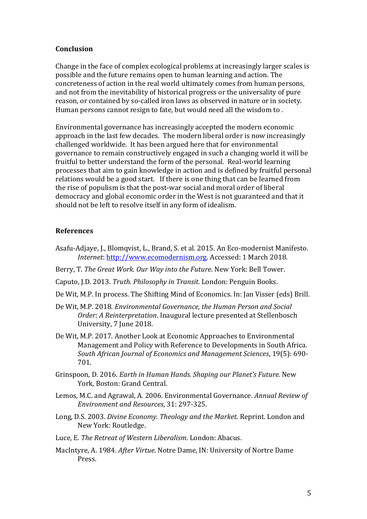## **Conclusion**

Change in the face of complex ecological problems at increasingly larger scales is possible and the future remains open to human learning and action. The concreteness of action in the real world ultimately comes from human persons, and not from the inevitability of historical progress or the universality of pure reason, or contained by so-called iron laws as observed in nature or in society. Human persons cannot resign to fate, but would need all the wisdom to .

Environmental governance has increasingly accepted the modern economic approach in the last few decades. The modern liberal order is now increasingly challenged worldwide. It has been argued here that for environmental governance to remain constructively engaged in such a changing world it will be fruitful to better understand the form of the personal. Real-world learning processes that aim to gain knowledge in action and is defined by fruitful personal relations would be a good start. If there is one thing that can be learned from the rise of populism is that the post-war social and moral order of liberal democracy and global economic order in the West is not guaranteed and that it should not be left to resolve itself in any form of idealism.

## **References**

- Asafu-Adjaye, J., Blomqvist, L., Brand, S. et al. 2015. An Eco-modernist Manifesto. *Internet*[: http://www.ecomodernism.org.](http://www.ecomodernism.org/) Accessed: 1 March 2018.
- Berry, T. *The Great Work. Our Way into the Future*. New York: Bell Tower.
- Caputo, J.D. 2013. *Truth. Philosophy in Transit*. London: Penguin Books.
- De Wit, M.P. In process. The Shifting Mind of Economics. In: Jan Visser (eds) Brill.
- De Wit, M.P. 2018. *Environmental Governance, the Human Person and Social Order: A Reinterpretation*. Inaugural lecture presented at Stellenbosch University, 7 June 2018.
- De Wit, M.P. 2017. Another Look at Economic Approaches to Environmental Management and Policy with Reference to Developments in South Africa. *South African Journal of Economics and Management Sciences*, 19(5): 690- 701.
- Grinspoon, D. 2016. *Earth in Human Hands. Shaping our Planet's Future.* New York, Boston: Grand Central.
- Lemos, M.C. and Agrawal, A. 2006. Environmental Governance. *Annual Review of Environment and Resources*, 31: 297-325.
- Long, D.S. 2003. *Divine Economy. Theology and the Market*. Reprint. London and New York: Routledge.
- Luce, E. *The Retreat of Western Liberalism*. London: Abacus.
- MacIntyre, A. 1984. *After Virtue*. Notre Dame, IN: University of Nortre Dame Press.